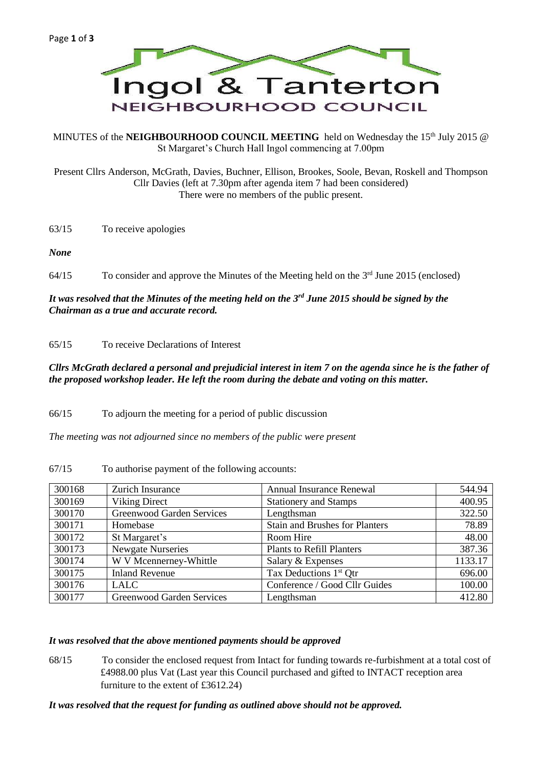

MINUTES of the **NEIGHBOURHOOD COUNCIL MEETING** held on Wednesday the 15<sup>th</sup> July 2015 @ St Margaret's Church Hall Ingol commencing at 7.00pm

Present Cllrs Anderson, McGrath, Davies, Buchner, Ellison, Brookes, Soole, Bevan, Roskell and Thompson Cllr Davies (left at 7.30pm after agenda item 7 had been considered) There were no members of the public present.

63/15 To receive apologies

*None*

64/15 To consider and approve the Minutes of the Meeting held on the 3<sup>rd</sup> June 2015 (enclosed)

# *It was resolved that the Minutes of the meeting held on the 3rd June 2015 should be signed by the Chairman as a true and accurate record.*

65/15 To receive Declarations of Interest

## *Cllrs McGrath declared a personal and prejudicial interest in item 7 on the agenda since he is the father of the proposed workshop leader. He left the room during the debate and voting on this matter.*

66/15 To adjourn the meeting for a period of public discussion

*The meeting was not adjourned since no members of the public were present*

| 300168 | Zurich Insurance                 | <b>Annual Insurance Renewal</b>       | 544.94  |
|--------|----------------------------------|---------------------------------------|---------|
| 300169 | <b>Viking Direct</b>             | <b>Stationery and Stamps</b>          | 400.95  |
| 300170 | <b>Greenwood Garden Services</b> | Lengthsman                            | 322.50  |
| 300171 | Homebase                         | <b>Stain and Brushes for Planters</b> | 78.89   |
| 300172 | St Margaret's                    | Room Hire                             | 48.00   |
| 300173 | <b>Newgate Nurseries</b>         | <b>Plants to Refill Planters</b>      | 387.36  |
| 300174 | W V Mcennerney-Whittle           | Salary & Expenses                     | 1133.17 |
| 300175 | <b>Inland Revenue</b>            | Tax Deductions 1 <sup>st</sup> Qtr    | 696.00  |
| 300176 | <b>LALC</b>                      | Conference / Good Cllr Guides         | 100.00  |
| 300177 | <b>Greenwood Garden Services</b> | Lengthsman                            | 412.80  |

67/15 To authorise payment of the following accounts:

#### *It was resolved that the above mentioned payments should be approved*

68/15 To consider the enclosed request from Intact for funding towards re-furbishment at a total cost of £4988.00 plus Vat (Last year this Council purchased and gifted to INTACT reception area furniture to the extent of £3612.24)

#### *It was resolved that the request for funding as outlined above should not be approved.*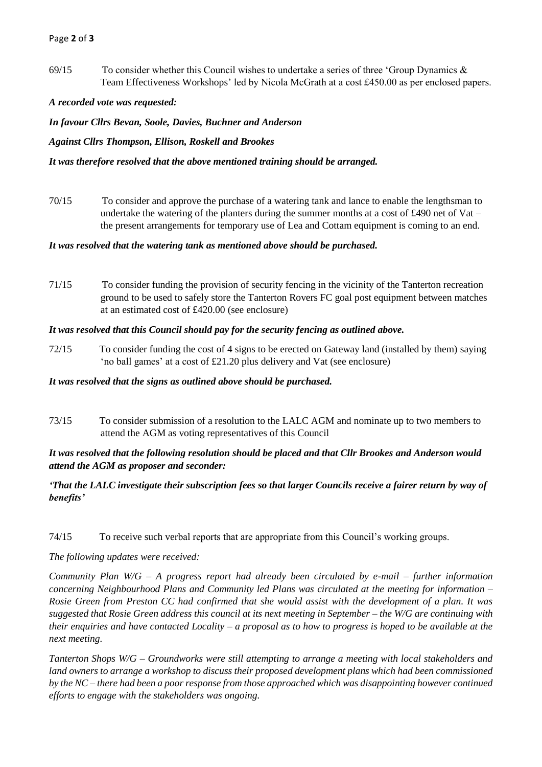## Page **2** of **3**

69/15 To consider whether this Council wishes to undertake a series of three 'Group Dynamics & Team Effectiveness Workshops' led by Nicola McGrath at a cost £450.00 as per enclosed papers.

## *A recorded vote was requested:*

*In favour Cllrs Bevan, Soole, Davies, Buchner and Anderson*

*Against Cllrs Thompson, Ellison, Roskell and Brookes*

#### *It was therefore resolved that the above mentioned training should be arranged.*

70/15 To consider and approve the purchase of a watering tank and lance to enable the lengthsman to undertake the watering of the planters during the summer months at a cost of £490 net of Vat – the present arrangements for temporary use of Lea and Cottam equipment is coming to an end.

#### *It was resolved that the watering tank as mentioned above should be purchased.*

71/15 To consider funding the provision of security fencing in the vicinity of the Tanterton recreation ground to be used to safely store the Tanterton Rovers FC goal post equipment between matches at an estimated cost of £420.00 (see enclosure)

## *It was resolved that this Council should pay for the security fencing as outlined above.*

72/15 To consider funding the cost of 4 signs to be erected on Gateway land (installed by them) saying 'no ball games' at a cost of £21.20 plus delivery and Vat (see enclosure)

#### *It was resolved that the signs as outlined above should be purchased.*

73/15 To consider submission of a resolution to the LALC AGM and nominate up to two members to attend the AGM as voting representatives of this Council

# *It was resolved that the following resolution should be placed and that Cllr Brookes and Anderson would attend the AGM as proposer and seconder:*

# *'That the LALC investigate their subscription fees so that larger Councils receive a fairer return by way of benefits'*

# 74/15 To receive such verbal reports that are appropriate from this Council's working groups.

*The following updates were received:*

*Community Plan W/G – A progress report had already been circulated by e-mail – further information concerning Neighbourhood Plans and Community led Plans was circulated at the meeting for information – Rosie Green from Preston CC had confirmed that she would assist with the development of a plan. It was suggested that Rosie Green address this council at its next meeting in September – the W/G are continuing with their enquiries and have contacted Locality – a proposal as to how to progress is hoped to be available at the next meeting.*

*Tanterton Shops W/G – Groundworks were still attempting to arrange a meeting with local stakeholders and land owners to arrange a workshop to discuss their proposed development plans which had been commissioned by the NC – there had been a poor response from those approached which was disappointing however continued efforts to engage with the stakeholders was ongoing.*